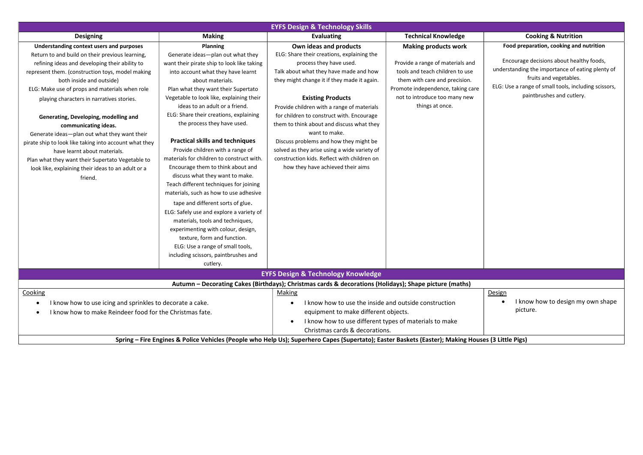| <b>EYFS Design &amp; Technology Skills</b>                                                                                                                                                                                                                                                                                                                                                                                                                                                                                                                                                                                                                   |                                                                                                                                                                                                                                                                                                                                                                                                                                                                                                                                                                                                                                                                                                                                                                 |                                                                                                                                                                                                                                                                                                                                                                                                                                                                                                                                                             |                                                                                                                                                                                                                              |                                                                                                                                                                                                                                                        |  |  |  |  |
|--------------------------------------------------------------------------------------------------------------------------------------------------------------------------------------------------------------------------------------------------------------------------------------------------------------------------------------------------------------------------------------------------------------------------------------------------------------------------------------------------------------------------------------------------------------------------------------------------------------------------------------------------------------|-----------------------------------------------------------------------------------------------------------------------------------------------------------------------------------------------------------------------------------------------------------------------------------------------------------------------------------------------------------------------------------------------------------------------------------------------------------------------------------------------------------------------------------------------------------------------------------------------------------------------------------------------------------------------------------------------------------------------------------------------------------------|-------------------------------------------------------------------------------------------------------------------------------------------------------------------------------------------------------------------------------------------------------------------------------------------------------------------------------------------------------------------------------------------------------------------------------------------------------------------------------------------------------------------------------------------------------------|------------------------------------------------------------------------------------------------------------------------------------------------------------------------------------------------------------------------------|--------------------------------------------------------------------------------------------------------------------------------------------------------------------------------------------------------------------------------------------------------|--|--|--|--|
| <b>Designing</b>                                                                                                                                                                                                                                                                                                                                                                                                                                                                                                                                                                                                                                             | <b>Making</b>                                                                                                                                                                                                                                                                                                                                                                                                                                                                                                                                                                                                                                                                                                                                                   | <b>Evaluating</b>                                                                                                                                                                                                                                                                                                                                                                                                                                                                                                                                           | <b>Technical Knowledge</b>                                                                                                                                                                                                   | <b>Cooking &amp; Nutrition</b>                                                                                                                                                                                                                         |  |  |  |  |
| Understanding context users and purposes<br>Return to and build on their previous learning,<br>refining ideas and developing their ability to<br>represent them. (construction toys, model making<br>both inside and outside)<br>ELG: Make use of props and materials when role<br>playing characters in narratives stories.<br>Generating, Developing, modelling and<br>communicating ideas.<br>Generate ideas-plan out what they want their<br>pirate ship to look like taking into account what they<br>have learnt about materials.<br>Plan what they want their Supertato Vegetable to<br>look like, explaining their ideas to an adult or a<br>friend. | Planning<br>Generate ideas-plan out what they<br>want their pirate ship to look like taking<br>into account what they have learnt<br>about materials.<br>Plan what they want their Supertato<br>Vegetable to look like, explaining their<br>ideas to an adult or a friend.<br>ELG: Share their creations, explaining<br>the process they have used.<br><b>Practical skills and techniques</b><br>Provide children with a range of<br>materials for children to construct with.<br>Encourage them to think about and<br>discuss what they want to make.<br>Teach different techniques for joining<br>materials, such as how to use adhesive<br>tape and different sorts of glue.<br>ELG: Safely use and explore a variety of<br>materials, tools and techniques, | Own ideas and products<br>ELG: Share their creations, explaining the<br>process they have used.<br>Talk about what they have made and how<br>they might change it if they made it again.<br><b>Existing Products</b><br>Provide children with a range of materials<br>for children to construct with. Encourage<br>them to think about and discuss what they<br>want to make.<br>Discuss problems and how they might be<br>solved as they arise using a wide variety of<br>construction kids. Reflect with children on<br>how they have achieved their aims | <b>Making products work</b><br>Provide a range of materials and<br>tools and teach children to use<br>them with care and precision.<br>Promote independence, taking care<br>not to introduce too many new<br>things at once. | Food preparation, cooking and nutrition<br>Encourage decisions about healthy foods,<br>understanding the importance of eating plenty of<br>fruits and vegetables.<br>ELG: Use a range of small tools, including scissors,<br>paintbrushes and cutlery. |  |  |  |  |
|                                                                                                                                                                                                                                                                                                                                                                                                                                                                                                                                                                                                                                                              | experimenting with colour, design,<br>texture, form and function.<br>ELG: Use a range of small tools,<br>including scissors, paintbrushes and<br>cutlery.                                                                                                                                                                                                                                                                                                                                                                                                                                                                                                                                                                                                       |                                                                                                                                                                                                                                                                                                                                                                                                                                                                                                                                                             |                                                                                                                                                                                                                              |                                                                                                                                                                                                                                                        |  |  |  |  |
| <b>EYFS Design &amp; Technology Knowledge</b>                                                                                                                                                                                                                                                                                                                                                                                                                                                                                                                                                                                                                |                                                                                                                                                                                                                                                                                                                                                                                                                                                                                                                                                                                                                                                                                                                                                                 |                                                                                                                                                                                                                                                                                                                                                                                                                                                                                                                                                             |                                                                                                                                                                                                                              |                                                                                                                                                                                                                                                        |  |  |  |  |
| Autumn - Decorating Cakes (Birthdays); Christmas cards & decorations (Holidays); Shape picture (maths)                                                                                                                                                                                                                                                                                                                                                                                                                                                                                                                                                       |                                                                                                                                                                                                                                                                                                                                                                                                                                                                                                                                                                                                                                                                                                                                                                 |                                                                                                                                                                                                                                                                                                                                                                                                                                                                                                                                                             |                                                                                                                                                                                                                              |                                                                                                                                                                                                                                                        |  |  |  |  |
| Cooking<br>I know how to use icing and sprinkles to decorate a cake.<br>$\bullet$<br>I know how to make Reindeer food for the Christmas fate.                                                                                                                                                                                                                                                                                                                                                                                                                                                                                                                |                                                                                                                                                                                                                                                                                                                                                                                                                                                                                                                                                                                                                                                                                                                                                                 | Making<br>I know how to use the inside and outside construction<br>equipment to make different objects.<br>I know how to use different types of materials to make<br>Christmas cards & decorations.                                                                                                                                                                                                                                                                                                                                                         |                                                                                                                                                                                                                              | Design<br>I know how to design my own shape<br>picture.                                                                                                                                                                                                |  |  |  |  |
| Spring - Fire Engines & Police Vehicles (People who Help Us); Superhero Capes (Supertato); Easter Baskets (Easter); Making Houses (3 Little Pigs)                                                                                                                                                                                                                                                                                                                                                                                                                                                                                                            |                                                                                                                                                                                                                                                                                                                                                                                                                                                                                                                                                                                                                                                                                                                                                                 |                                                                                                                                                                                                                                                                                                                                                                                                                                                                                                                                                             |                                                                                                                                                                                                                              |                                                                                                                                                                                                                                                        |  |  |  |  |